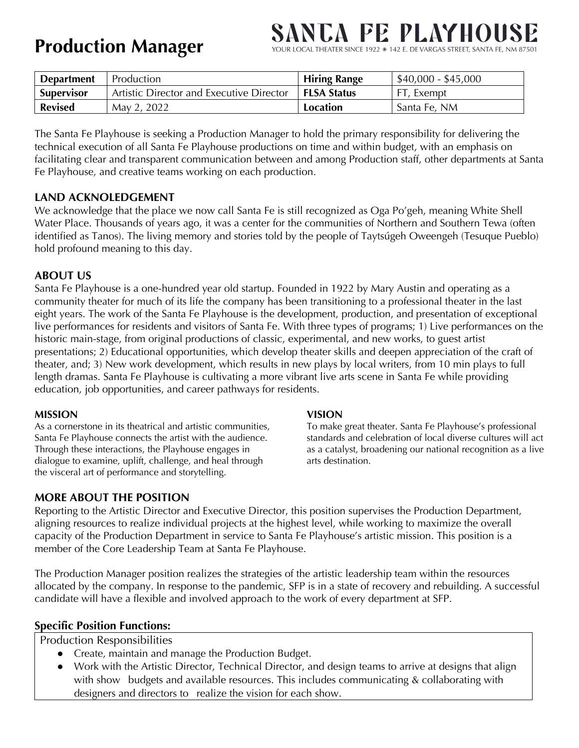### **Production Manager**

## **NCA PE PLAYHO!**

YOUR LOCAL THEATER SINCE 1922 \* 142 E. DE VARGAS STREET, SANTA FE, NM 87501

| <b>Department</b> | Production                               | <b>Hiring Range</b> | $$40,000 - $45,000$ |
|-------------------|------------------------------------------|---------------------|---------------------|
| <b>Supervisor</b> | Artistic Director and Executive Director | <b>FLSA Status</b>  | FT, Exempt          |
| <b>Revised</b>    | May 2, 2022                              | Location            | Santa Fe, NM        |

The Santa Fe Playhouse is seeking a Production Manager to hold the primary responsibility for delivering the technical execution of all Santa Fe Playhouse productions on time and within budget, with an emphasis on facilitating clear and transparent communication between and among Production staff, other departments at Santa Fe Playhouse, and creative teams working on each production.

#### **LAND ACKNOLEDGEMENT**

We acknowledge that the place we now call Santa Fe is still recognized as Oga Po'geh, meaning White Shell Water Place. Thousands of years ago, it was a center for the communities of Northern and Southern Tewa (often identified as Tanos). The living memory and stories told by the people of Taytsúgeh Oweengeh (Tesuque Pueblo) hold profound meaning to this day.

#### **ABOUT US**

Santa Fe Playhouse is a one-hundred year old startup. Founded in 1922 by Mary Austin and operating as a community theater for much of its life the company has been transitioning to a professional theater in the last eight years. The work of the Santa Fe Playhouse is the development, production, and presentation of exceptional live performances for residents and visitors of Santa Fe. With three types of programs; 1) Live performances on the historic main-stage, from original productions of classic, experimental, and new works, to guest artist presentations; 2) Educational opportunities, which develop theater skills and deepen appreciation of the craft of theater, and; 3) New work development, which results in new plays by local writers, from 10 min plays to full length dramas. Santa Fe Playhouse is cultivating a more vibrant live arts scene in Santa Fe while providing education, job opportunities, and career pathways for residents.

#### **MISSION**

As a cornerstone in its theatrical and artistic communities, Santa Fe Playhouse connects the artist with the audience. Through these interactions, the Playhouse engages in dialogue to examine, uplift, challenge, and heal through the visceral art of performance and storytelling.

#### **VISION**

To make great theater. Santa Fe Playhouse's professional standards and celebration of local diverse cultures will act as a catalyst, broadening our national recognition as a live arts destination.

#### **MORE ABOUT THE POSITION**

Reporting to the Artistic Director and Executive Director, this position supervises the Production Department, aligning resources to realize individual projects at the highest level, while working to maximize the overall capacity of the Production Department in service to Santa Fe Playhouse's artistic mission. This position is a member of the Core Leadership Team at Santa Fe Playhouse.

The Production Manager position realizes the strategies of the artistic leadership team within the resources allocated by the company. In response to the pandemic, SFP is in a state of recovery and rebuilding. A successful candidate will have a flexible and involved approach to the work of every department at SFP.

#### **Specific Position Functions:**

Production Responsibilities

- Create, maintain and manage the Production Budget.
- Work with the Artistic Director, Technical Director, and design teams to arrive at designs that align with show budgets and available resources. This includes communicating & collaborating with designers and directors to realize the vision for each show.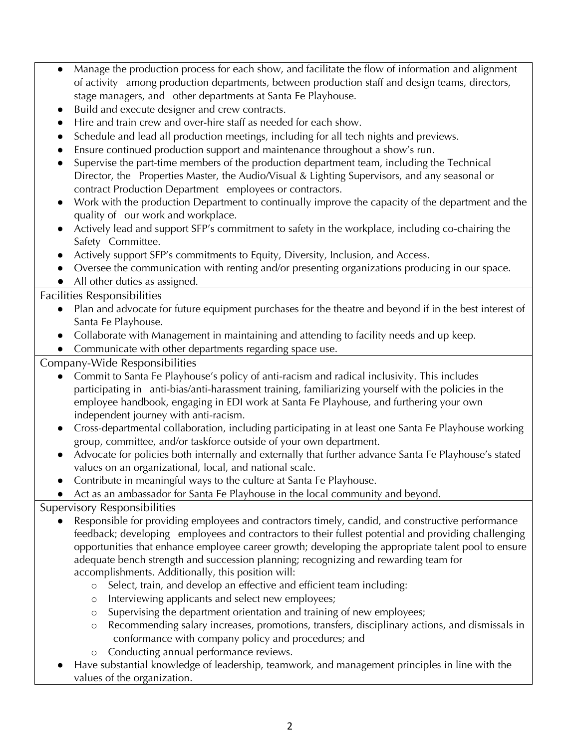- Manage the production process for each show, and facilitate the flow of information and alignment of activity among production departments, between production staff and design teams, directors, stage managers, and other departments at Santa Fe Playhouse.
- Build and execute designer and crew contracts.
- Hire and train crew and over-hire staff as needed for each show.
- Schedule and lead all production meetings, including for all tech nights and previews.
- Ensure continued production support and maintenance throughout a show's run.
- Supervise the part-time members of the production department team, including the Technical Director, the Properties Master, the Audio/Visual & Lighting Supervisors, and any seasonal or contract Production Department employees or contractors.
- Work with the production Department to continually improve the capacity of the department and the quality of our work and workplace.
- Actively lead and support SFP's commitment to safety in the workplace, including co-chairing the Safety Committee.
- Actively support SFP's commitments to Equity, Diversity, Inclusion, and Access.
- Oversee the communication with renting and/or presenting organizations producing in our space.
- All other duties as assigned.

#### Facilities Responsibilities

- Plan and advocate for future equipment purchases for the theatre and beyond if in the best interest of Santa Fe Playhouse.
- Collaborate with Management in maintaining and attending to facility needs and up keep.
- Communicate with other departments regarding space use.

Company-Wide Responsibilities

- Commit to Santa Fe Playhouse's policy of anti-racism and radical inclusivity. This includes participating in anti-bias/anti-harassment training, familiarizing yourself with the policies in the employee handbook, engaging in EDI work at Santa Fe Playhouse, and furthering your own independent journey with anti-racism.
- Cross-departmental collaboration, including participating in at least one Santa Fe Playhouse working group, committee, and/or taskforce outside of your own department.
- Advocate for policies both internally and externally that further advance Santa Fe Playhouse's stated values on an organizational, local, and national scale.
- Contribute in meaningful ways to the culture at Santa Fe Playhouse.
- Act as an ambassador for Santa Fe Playhouse in the local community and beyond.

Supervisory Responsibilities

- Responsible for providing employees and contractors timely, candid, and constructive performance feedback; developing employees and contractors to their fullest potential and providing challenging opportunities that enhance employee career growth; developing the appropriate talent pool to ensure adequate bench strength and succession planning; recognizing and rewarding team for accomplishments. Additionally, this position will:
	- o Select, train, and develop an effective and efficient team including:
	- o Interviewing applicants and select new employees;
	- o Supervising the department orientation and training of new employees;
	- o Recommending salary increases, promotions, transfers, disciplinary actions, and dismissals in conformance with company policy and procedures; and
	- o Conducting annual performance reviews.
- Have substantial knowledge of leadership, teamwork, and management principles in line with the values of the organization.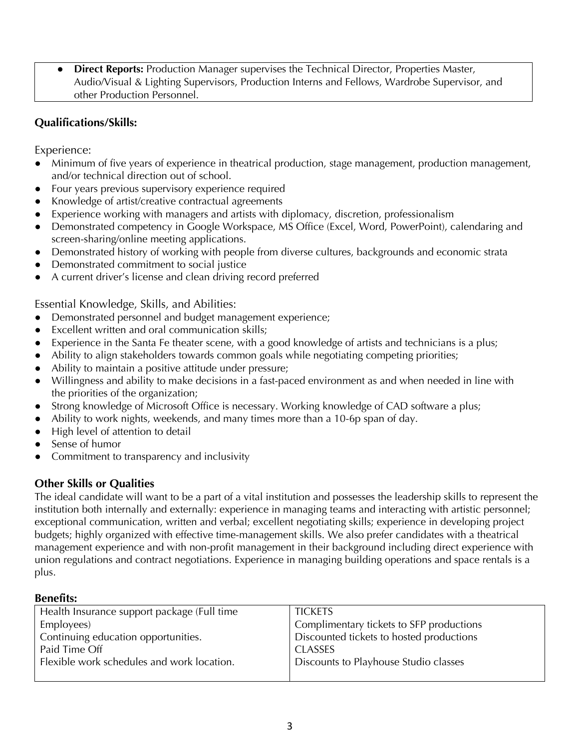● **Direct Reports:** Production Manager supervises the Technical Director, Properties Master, Audio/Visual & Lighting Supervisors, Production Interns and Fellows, Wardrobe Supervisor, and other Production Personnel.

#### **Qualifications/Skills:**

Experience:

- Minimum of five years of experience in theatrical production, stage management, production management, and/or technical direction out of school.
- Four years previous supervisory experience required
- Knowledge of artist/creative contractual agreements
- Experience working with managers and artists with diplomacy, discretion, professionalism
- Demonstrated competency in Google Workspace, MS Office (Excel, Word, PowerPoint), calendaring and screen-sharing/online meeting applications.
- Demonstrated history of working with people from diverse cultures, backgrounds and economic strata
- Demonstrated commitment to social justice
- A current driver's license and clean driving record preferred

Essential Knowledge, Skills, and Abilities:

- Demonstrated personnel and budget management experience;
- Excellent written and oral communication skills;
- Experience in the Santa Fe theater scene, with a good knowledge of artists and technicians is a plus;
- Ability to align stakeholders towards common goals while negotiating competing priorities;
- Ability to maintain a positive attitude under pressure;
- Willingness and ability to make decisions in a fast-paced environment as and when needed in line with the priorities of the organization;
- Strong knowledge of Microsoft Office is necessary. Working knowledge of CAD software a plus;
- Ability to work nights, weekends, and many times more than a 10-6p span of day.
- High level of attention to detail
- Sense of humor
- Commitment to transparency and inclusivity

#### **Other Skills or Qualities**

The ideal candidate will want to be a part of a vital institution and possesses the leadership skills to represent the institution both internally and externally: experience in managing teams and interacting with artistic personnel; exceptional communication, written and verbal; excellent negotiating skills; experience in developing project budgets; highly organized with effective time-management skills. We also prefer candidates with a theatrical management experience and with non-profit management in their background including direct experience with union regulations and contract negotiations. Experience in managing building operations and space rentals is a plus.

#### **Benefits:**

| Health Insurance support package (Full time | <b>TICKETS</b>                           |  |
|---------------------------------------------|------------------------------------------|--|
| Employees)                                  | Complimentary tickets to SFP productions |  |
| Continuing education opportunities.         | Discounted tickets to hosted productions |  |
| Paid Time Off                               | <b>CLASSES</b>                           |  |
| Flexible work schedules and work location.  | Discounts to Playhouse Studio classes    |  |
|                                             |                                          |  |